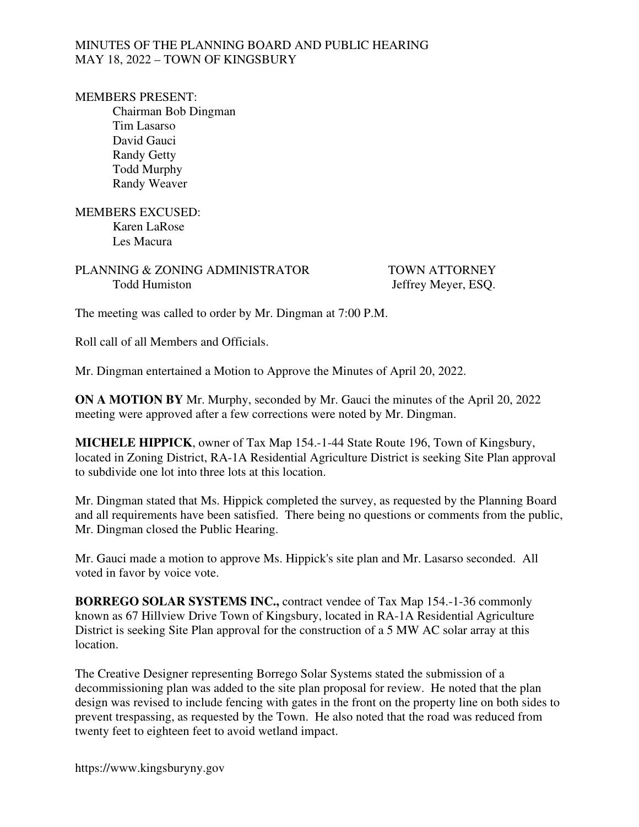### MINUTES OF THE PLANNING BOARD AND PUBLIC HEARING MAY 18, 2022 – TOWN OF KINGSBURY

#### MEMBERS PRESENT:

 Chairman Bob Dingman Tim Lasarso David Gauci Randy Getty Todd Murphy Randy Weaver

### MEMBERS EXCUSED: Karen LaRose Les Macura

# PLANNING & ZONING ADMINISTRATOR TOWN ATTORNEY Todd Humiston Jeffrey Meyer, ESO.

The meeting was called to order by Mr. Dingman at 7:00 P.M.

Roll call of all Members and Officials.

Mr. Dingman entertained a Motion to Approve the Minutes of April 20, 2022.

**ON A MOTION BY** Mr. Murphy, seconded by Mr. Gauci the minutes of the April 20, 2022 meeting were approved after a few corrections were noted by Mr. Dingman.

**MICHELE HIPPICK**, owner of Tax Map 154.-1-44 State Route 196, Town of Kingsbury, located in Zoning District, RA-1A Residential Agriculture District is seeking Site Plan approval to subdivide one lot into three lots at this location.

Mr. Dingman stated that Ms. Hippick completed the survey, as requested by the Planning Board and all requirements have been satisfied. There being no questions or comments from the public, Mr. Dingman closed the Public Hearing.

Mr. Gauci made a motion to approve Ms. Hippick's site plan and Mr. Lasarso seconded. All voted in favor by voice vote.

**BORREGO SOLAR SYSTEMS INC.,** contract vendee of Tax Map 154.-1-36 commonly known as 67 Hillview Drive Town of Kingsbury, located in RA-1A Residential Agriculture District is seeking Site Plan approval for the construction of a 5 MW AC solar array at this location.

The Creative Designer representing Borrego Solar Systems stated the submission of a decommissioning plan was added to the site plan proposal for review. He noted that the plan design was revised to include fencing with gates in the front on the property line on both sides to prevent trespassing, as requested by the Town. He also noted that the road was reduced from twenty feet to eighteen feet to avoid wetland impact.